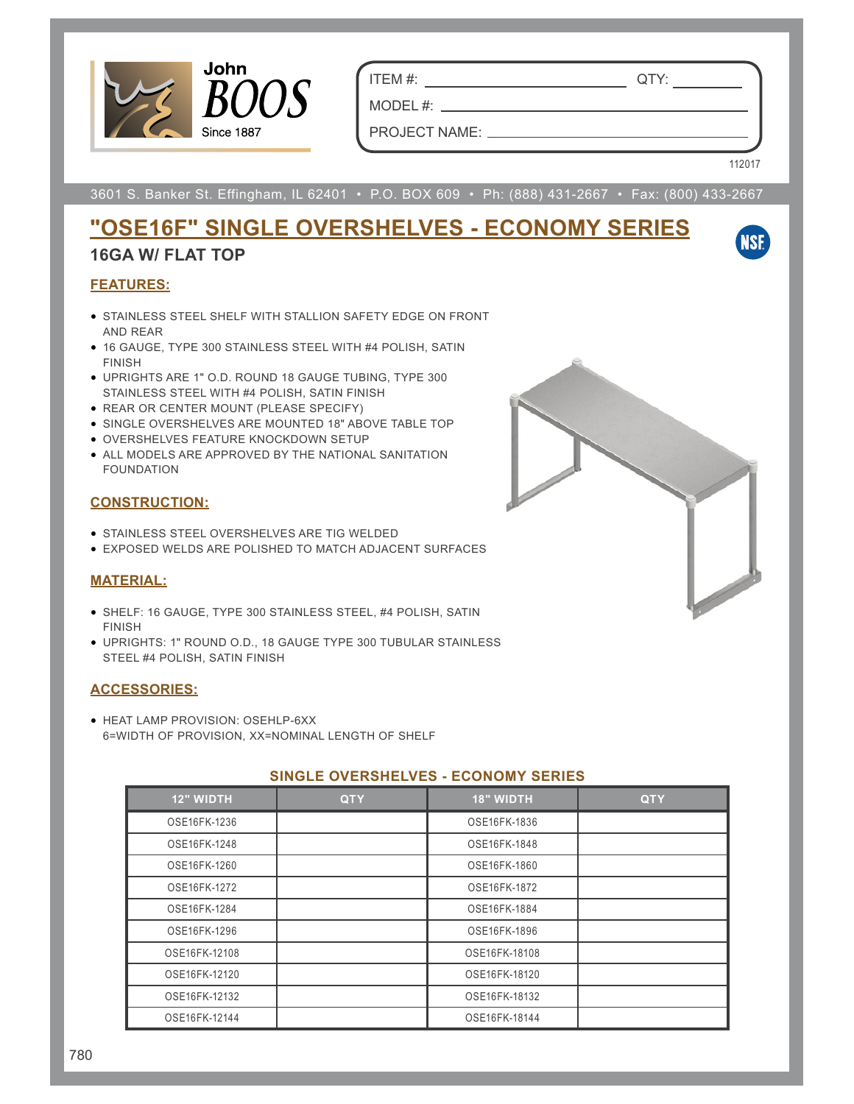

ITEM #: QTY:

PROJECT NAME:

MODEL #:

112017

**NSF** 

3601 S. Banker St. Effingham, IL 62401 • P.O. BOX 609 • Ph: (888) 431-2667 • Fax: (800) 433-2667

# **"OSE16F" SINGLE OVERSHELVES - ECONOMY SERIES**

## **16GA W/ FLAT TOP**

### **FEATURES:**

- STAINLESS STEEL SHELF WITH STALLION SAFETY EDGE ON FRONT AND REAR
- 16 GAUGE, TYPE 300 STAINLESS STEEL WITH #4 POLISH, SATIN FINISH
- UPRIGHTS ARE 1" O.D. ROUND 18 GAUGE TUBING, TYPE 300 STAINLESS STEEL WITH #4 POLISH, SATIN FINISH
- REAR OR CENTER MOUNT (PLEASE SPECIFY)
- SINGLE OVERSHELVES ARE MOUNTED 18" ABOVE TABLE TOP
- OVERSHELVES FEATURE KNOCKDOWN SETUP
- ALL MODELS ARE APPROVED BY THE NATIONAL SANITATION FOUNDATION

### **CONSTRUCTION:**

- STAINLESS STEEL OVERSHELVES ARE TIG WELDED
- EXPOSED WELDS ARE POLISHED TO MATCH ADJACENT SURFACES

#### **MATERIAL:**

- SHELF: 16 GAUGE, TYPE 300 STAINLESS STEEL, #4 POLISH, SATIN FINISH
- UPRIGHTS: 1" ROUND O.D., 18 GAUGE TYPE 300 TUBULAR STAINLESS STEEL #4 POLISH, SATIN FINISH

#### **ACCESSORIES:**

• HEAT LAMP PROVISION: OSEHLP-6XX 6=WIDTH OF PROVISION, XX=NOMINAL LENGTH OF SHELF

#### **SINGLE OVERSHELVES - ECONOMY SERIES**

| <b>12" WIDTH</b> | <b>QTY</b> | <b>18" WIDTH</b> | <b>QTY</b> |
|------------------|------------|------------------|------------|
| OSE16FK-1236     |            | OSE16FK-1836     |            |
| OSE16FK-1248     |            | OSE16FK-1848     |            |
| OSE16FK-1260     |            | OSE16FK-1860     |            |
| OSE16FK-1272     |            | OSE16FK-1872     |            |
| OSE16FK-1284     |            | OSE16FK-1884     |            |
| OSE16FK-1296     |            | OSE16FK-1896     |            |
| OSE16FK-12108    |            | OSE16FK-18108    |            |
| OSE16FK-12120    |            | OSE16FK-18120    |            |
| OSE16FK-12132    |            | OSE16FK-18132    |            |
| OSE16FK-12144    |            | OSE16FK-18144    |            |